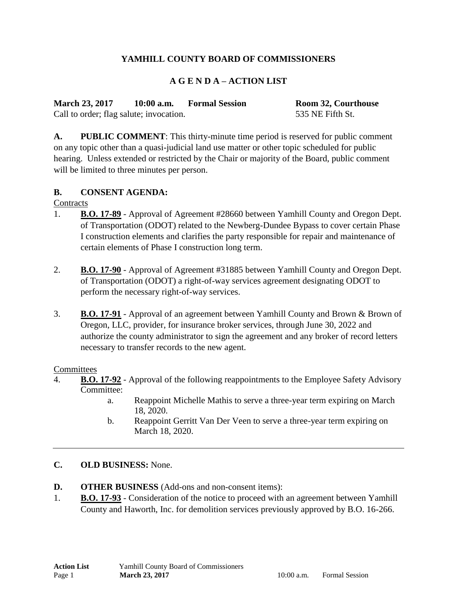## **YAMHILL COUNTY BOARD OF COMMISSIONERS**

## **A G E N D A – ACTION LIST**

**March 23, 2017 10:00 a.m. Formal Session Room 32, Courthouse** Call to order; flag salute; invocation. 535 NE Fifth St.

**A. PUBLIC COMMENT**: This thirty-minute time period is reserved for public comment on any topic other than a quasi-judicial land use matter or other topic scheduled for public hearing. Unless extended or restricted by the Chair or majority of the Board, public comment will be limited to three minutes per person.

### **B. CONSENT AGENDA:**

**Contracts** 

- 1. **B.O. 17-89** Approval of Agreement #28660 between Yamhill County and Oregon Dept. of Transportation (ODOT) related to the Newberg-Dundee Bypass to cover certain Phase I construction elements and clarifies the party responsible for repair and maintenance of certain elements of Phase I construction long term.
- 2. **B.O. 17-90** Approval of Agreement #31885 between Yamhill County and Oregon Dept. of Transportation (ODOT) a right-of-way services agreement designating ODOT to perform the necessary right-of-way services.
- 3. **B.O. 17-91** Approval of an agreement between Yamhill County and Brown & Brown of Oregon, LLC, provider, for insurance broker services, through June 30, 2022 and authorize the county administrator to sign the agreement and any broker of record letters necessary to transfer records to the new agent.

#### **Committees**

- 4. **B.O. 17-92** Approval of the following reappointments to the Employee Safety Advisory Committee:
	- a. Reappoint Michelle Mathis to serve a three-year term expiring on March 18, 2020.
	- b. Reappoint Gerritt Van Der Veen to serve a three-year term expiring on March 18, 2020.

### **C. OLD BUSINESS:** None.

- **D. OTHER BUSINESS** (Add-ons and non-consent items):
- 1. **B.O. 17-93** Consideration of the notice to proceed with an agreement between Yamhill County and Haworth, Inc. for demolition services previously approved by B.O. 16-266.